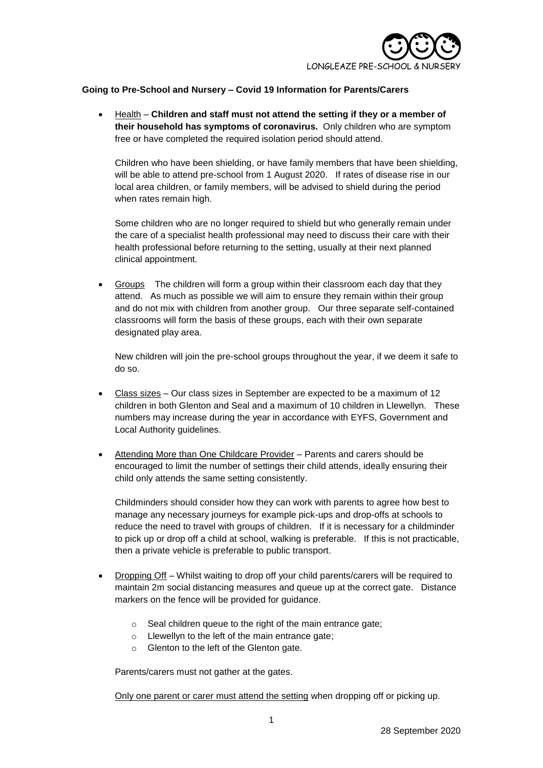

## **Going to Pre-School and Nursery – Covid 19 Information for Parents/Carers**

 Health – **Children and staff must not attend the setting if they or a member of their household has symptoms of coronavirus.** Only children who are symptom free or have completed the required isolation period should attend.

Children who have been shielding, or have family members that have been shielding, will be able to attend pre-school from 1 August 2020. If rates of disease rise in our local area children, or family members, will be advised to shield during the period when rates remain high.

Some children who are no longer required to shield but who generally remain under the care of a specialist health professional may need to discuss their care with their health professional before returning to the setting, usually at their next planned clinical appointment.

 Groups The children will form a group within their classroom each day that they attend. As much as possible we will aim to ensure they remain within their group and do not mix with children from another group. Our three separate self-contained classrooms will form the basis of these groups, each with their own separate designated play area.

New children will join the pre-school groups throughout the year, if we deem it safe to do so.

- Class sizes Our class sizes in September are expected to be a maximum of 12 children in both Glenton and Seal and a maximum of 10 children in Llewellyn. These numbers may increase during the year in accordance with EYFS, Government and Local Authority guidelines.
- Attending More than One Childcare Provider Parents and carers should be encouraged to limit the number of settings their child attends, ideally ensuring their child only attends the same setting consistently.

Childminders should consider how they can work with parents to agree how best to manage any necessary journeys for example pick-ups and drop-offs at schools to reduce the need to travel with groups of children. If it is necessary for a childminder to pick up or drop off a child at school, walking is preferable. If this is not practicable, then a private vehicle is preferable to public transport.

- Dropping Off Whilst waiting to drop off your child parents/carers will be required to maintain 2m social distancing measures and queue up at the correct gate. Distance markers on the fence will be provided for guidance.
	- o Seal children queue to the right of the main entrance gate;
	- o Llewellyn to the left of the main entrance gate;
	- o Glenton to the left of the Glenton gate.

Parents/carers must not gather at the gates.

Only one parent or carer must attend the setting when dropping off or picking up.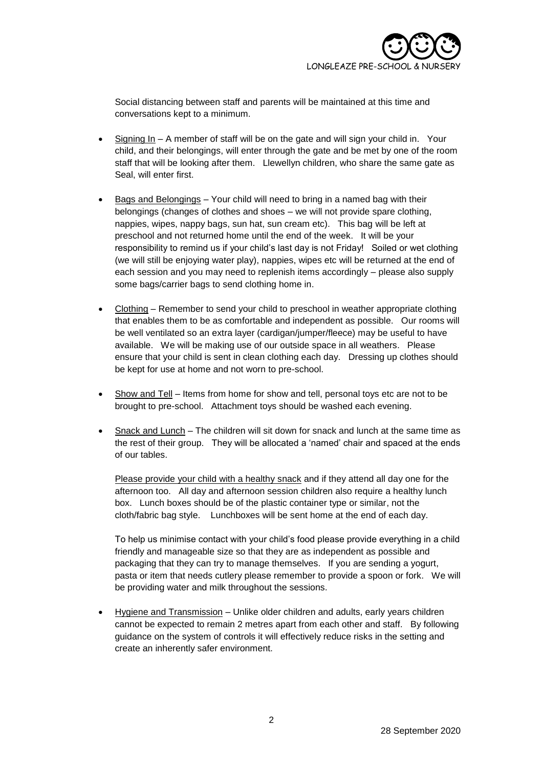

Social distancing between staff and parents will be maintained at this time and conversations kept to a minimum.

- Signing In A member of staff will be on the gate and will sign your child in. Your child, and their belongings, will enter through the gate and be met by one of the room staff that will be looking after them. Llewellyn children, who share the same gate as Seal, will enter first.
- Bags and Belongings Your child will need to bring in a named bag with their belongings (changes of clothes and shoes – we will not provide spare clothing, nappies, wipes, nappy bags, sun hat, sun cream etc). This bag will be left at preschool and not returned home until the end of the week. It will be your responsibility to remind us if your child's last day is not Friday! Soiled or wet clothing (we will still be enjoying water play), nappies, wipes etc will be returned at the end of each session and you may need to replenish items accordingly – please also supply some bags/carrier bags to send clothing home in.
- Clothing Remember to send your child to preschool in weather appropriate clothing that enables them to be as comfortable and independent as possible. Our rooms will be well ventilated so an extra layer (cardigan/jumper/fleece) may be useful to have available. We will be making use of our outside space in all weathers. Please ensure that your child is sent in clean clothing each day. Dressing up clothes should be kept for use at home and not worn to pre-school.
- Show and Tell Items from home for show and tell, personal toys etc are not to be brought to pre-school. Attachment toys should be washed each evening.
- Snack and Lunch The children will sit down for snack and lunch at the same time as the rest of their group. They will be allocated a 'named' chair and spaced at the ends of our tables.

Please provide your child with a healthy snack and if they attend all day one for the afternoon too. All day and afternoon session children also require a healthy lunch box. Lunch boxes should be of the plastic container type or similar, not the cloth/fabric bag style. Lunchboxes will be sent home at the end of each day.

To help us minimise contact with your child's food please provide everything in a child friendly and manageable size so that they are as independent as possible and packaging that they can try to manage themselves. If you are sending a yogurt, pasta or item that needs cutlery please remember to provide a spoon or fork. We will be providing water and milk throughout the sessions.

 Hygiene and Transmission – Unlike older children and adults, early years children cannot be expected to remain 2 metres apart from each other and staff. By following guidance on the system of controls it will effectively reduce risks in the setting and create an inherently safer environment.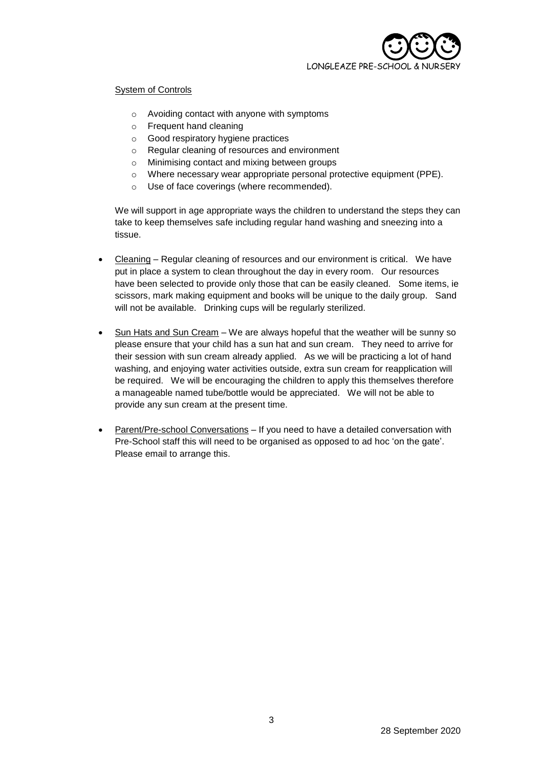

## System of Controls

- o Avoiding contact with anyone with symptoms
- o Frequent hand cleaning
- o Good respiratory hygiene practices
- o Regular cleaning of resources and environment
- o Minimising contact and mixing between groups
- o Where necessary wear appropriate personal protective equipment (PPE).
- o Use of face coverings (where recommended).

We will support in age appropriate ways the children to understand the steps they can take to keep themselves safe including regular hand washing and sneezing into a tissue.

- Cleaning Regular cleaning of resources and our environment is critical. We have put in place a system to clean throughout the day in every room. Our resources have been selected to provide only those that can be easily cleaned. Some items, ie scissors, mark making equipment and books will be unique to the daily group. Sand will not be available. Drinking cups will be regularly sterilized.
- Sun Hats and Sun Cream We are always hopeful that the weather will be sunny so please ensure that your child has a sun hat and sun cream. They need to arrive for their session with sun cream already applied. As we will be practicing a lot of hand washing, and enjoying water activities outside, extra sun cream for reapplication will be required. We will be encouraging the children to apply this themselves therefore a manageable named tube/bottle would be appreciated. We will not be able to provide any sun cream at the present time.
- Parent/Pre-school Conversations If you need to have a detailed conversation with Pre-School staff this will need to be organised as opposed to ad hoc 'on the gate'. Please email to arrange this.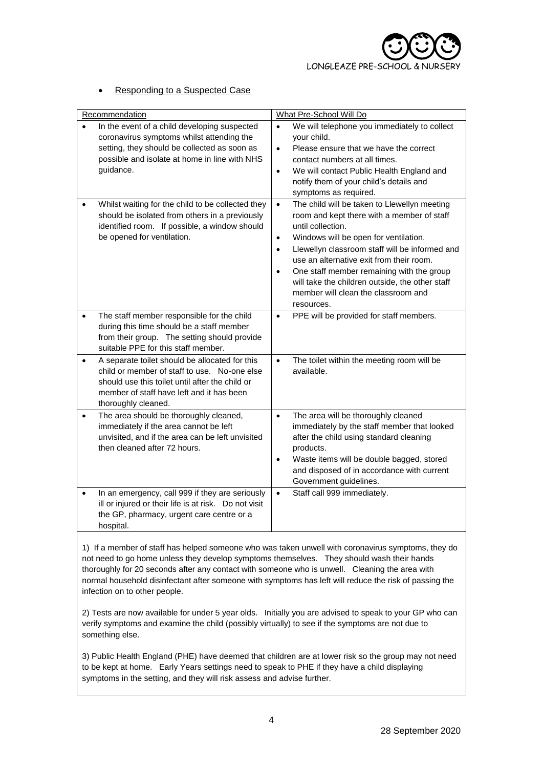## Responding to a Suspected Case

| Recommendation                                                                                                                                                                                                                     | What Pre-School Will Do                                                                                                                                                                                                                                                                                                                                                                                                                                         |
|------------------------------------------------------------------------------------------------------------------------------------------------------------------------------------------------------------------------------------|-----------------------------------------------------------------------------------------------------------------------------------------------------------------------------------------------------------------------------------------------------------------------------------------------------------------------------------------------------------------------------------------------------------------------------------------------------------------|
| In the event of a child developing suspected<br>coronavirus symptoms whilst attending the<br>setting, they should be collected as soon as<br>possible and isolate at home in line with NHS<br>guidance.                            | We will telephone you immediately to collect<br>$\bullet$<br>your child.<br>Please ensure that we have the correct<br>$\bullet$<br>contact numbers at all times.<br>We will contact Public Health England and<br>$\bullet$<br>notify them of your child's details and<br>symptoms as required.                                                                                                                                                                  |
| Whilst waiting for the child to be collected they<br>$\bullet$<br>should be isolated from others in a previously<br>identified room. If possible, a window should<br>be opened for ventilation.                                    | The child will be taken to Llewellyn meeting<br>$\bullet$<br>room and kept there with a member of staff<br>until collection.<br>Windows will be open for ventilation.<br>$\bullet$<br>Llewellyn classroom staff will be informed and<br>$\bullet$<br>use an alternative exit from their room.<br>One staff member remaining with the group<br>$\bullet$<br>will take the children outside, the other staff<br>member will clean the classroom and<br>resources. |
| The staff member responsible for the child<br>$\bullet$<br>during this time should be a staff member<br>from their group. The setting should provide<br>suitable PPE for this staff member.                                        | PPE will be provided for staff members.<br>$\bullet$                                                                                                                                                                                                                                                                                                                                                                                                            |
| A separate toilet should be allocated for this<br>$\bullet$<br>child or member of staff to use. No-one else<br>should use this toilet until after the child or<br>member of staff have left and it has been<br>thoroughly cleaned. | The toilet within the meeting room will be<br>$\bullet$<br>available.                                                                                                                                                                                                                                                                                                                                                                                           |
| The area should be thoroughly cleaned,<br>$\bullet$<br>immediately if the area cannot be left<br>unvisited, and if the area can be left unvisited<br>then cleaned after 72 hours.                                                  | The area will be thoroughly cleaned<br>$\bullet$<br>immediately by the staff member that looked<br>after the child using standard cleaning<br>products.<br>Waste items will be double bagged, stored<br>$\bullet$<br>and disposed of in accordance with current<br>Government guidelines.                                                                                                                                                                       |
| In an emergency, call 999 if they are seriously<br>$\bullet$<br>ill or injured or their life is at risk. Do not visit<br>the GP, pharmacy, urgent care centre or a<br>hospital.                                                    | Staff call 999 immediately.<br>$\bullet$                                                                                                                                                                                                                                                                                                                                                                                                                        |

1) If a member of staff has helped someone who was taken unwell with coronavirus symptoms, they do not need to go home unless they develop symptoms themselves. They should wash their hands thoroughly for 20 seconds after any contact with someone who is unwell. Cleaning the area with normal household disinfectant after someone with symptoms has left will reduce the risk of passing the infection on to other people.

2) Tests are now available for under 5 year olds. Initially you are advised to speak to your GP who can verify symptoms and examine the child (possibly virtually) to see if the symptoms are not due to something else.

3) Public Health England (PHE) have deemed that children are at lower risk so the group may not need to be kept at home. Early Years settings need to speak to PHE if they have a child displaying symptoms in the setting, and they will risk assess and advise further.